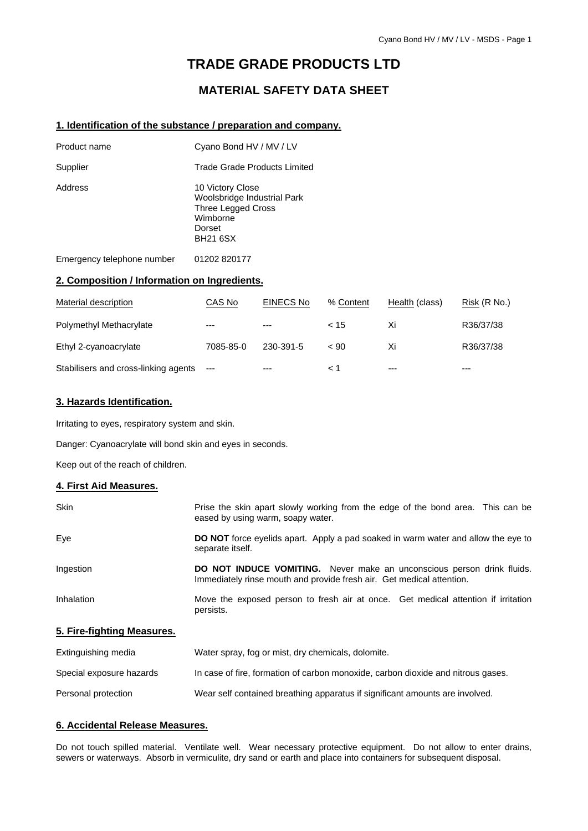# **TRADE GRADE PRODUCTS LTD**

# **MATERIAL SAFETY DATA SHEET**

#### **1. Identification of the substance / preparation and company.**

| Product name               | Cyano Bond HV / MV / LV                                                                                               |
|----------------------------|-----------------------------------------------------------------------------------------------------------------------|
| Supplier                   | Trade Grade Products Limited                                                                                          |
| Address                    | 10 Victory Close<br>Woolsbridge Industrial Park<br><b>Three Legged Cross</b><br>Wimborne<br>Dorset<br><b>BH21 6SX</b> |
| Emergency telephone number | 01202 820177                                                                                                          |

#### **2. Composition / Information on Ingredients.**

| Material description                 | CAS No    | <b>EINECS No</b> | % Content | Health (class) | Risk (R No.) |
|--------------------------------------|-----------|------------------|-----------|----------------|--------------|
| Polymethyl Methacrylate              | $---$     | $---$            | < 15      | Xi             | R36/37/38    |
| Ethyl 2-cyanoacrylate                | 7085-85-0 | 230-391-5        | ~< 90     | Xi             | R36/37/38    |
| Stabilisers and cross-linking agents | ---       | $---$            | 1 >       | $---$          | ---          |

#### **3. Hazards Identification.**

Irritating to eyes, respiratory system and skin.

Danger: Cyanoacrylate will bond skin and eyes in seconds.

Keep out of the reach of children.

#### **4. First Aid Measures.**

| <b>Skin</b>                | Prise the skin apart slowly working from the edge of the bond area. This can be<br>eased by using warm, soapy water.                            |
|----------------------------|-------------------------------------------------------------------------------------------------------------------------------------------------|
| Eye                        | DO NOT force eyelids apart. Apply a pad soaked in warm water and allow the eye to<br>separate itself.                                           |
| Ingestion                  | DO NOT INDUCE VOMITING. Never make an unconscious person drink fluids.<br>Immediately rinse mouth and provide fresh air. Get medical attention. |
| Inhalation                 | Move the exposed person to fresh air at once. Get medical attention if irritation<br>persists.                                                  |
| 5. Fire-fighting Measures. |                                                                                                                                                 |

# Extinguishing media Water spray, fog or mist, dry chemicals, dolomite. Special exposure hazards In case of fire, formation of carbon monoxide, carbon dioxide and nitrous gases. Personal protection Wear self contained breathing apparatus if significant amounts are involved.

#### **6. Accidental Release Measures.**

Do not touch spilled material. Ventilate well. Wear necessary protective equipment. Do not allow to enter drains, sewers or waterways. Absorb in vermiculite, dry sand or earth and place into containers for subsequent disposal.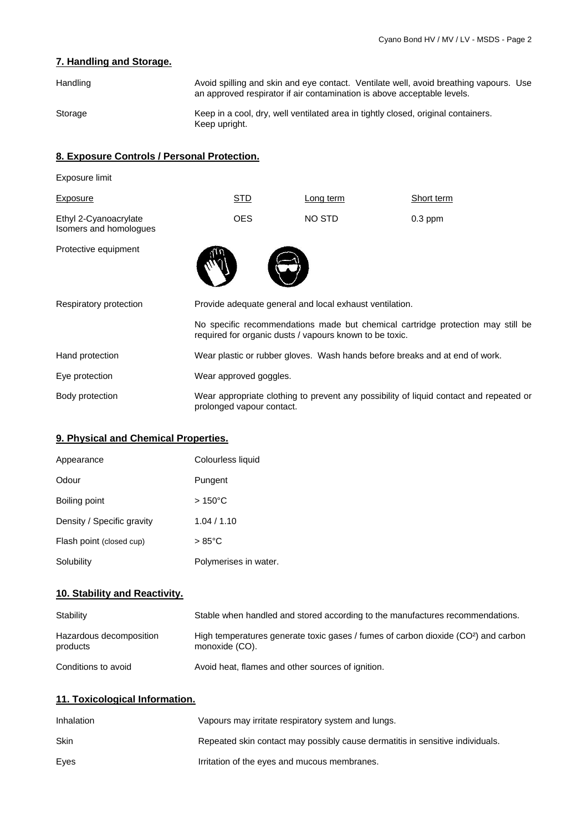# **7. Handling and Storage.**

| Handling | Avoid spilling and skin and eye contact. Ventilate well, avoid breathing vapours. Use<br>an approved respirator if air contamination is above acceptable levels. |
|----------|------------------------------------------------------------------------------------------------------------------------------------------------------------------|
| Storage  | Keep in a cool, dry, well ventilated area in tightly closed, original containers.<br>Keep upright.                                                               |

### **8. Exposure Controls / Personal Protection.**

| Exposure limit                                  |                                                                                                                                            |                                                                             |            |
|-------------------------------------------------|--------------------------------------------------------------------------------------------------------------------------------------------|-----------------------------------------------------------------------------|------------|
| Exposure                                        | <b>STD</b>                                                                                                                                 | Long term                                                                   | Short term |
| Ethyl 2-Cyanoacrylate<br>Isomers and homologues | <b>OES</b>                                                                                                                                 | NO STD                                                                      | $0.3$ ppm  |
| Protective equipment                            |                                                                                                                                            |                                                                             |            |
| Respiratory protection                          | Provide adequate general and local exhaust ventilation.                                                                                    |                                                                             |            |
|                                                 | No specific recommendations made but chemical cartridge protection may still be<br>required for organic dusts / vapours known to be toxic. |                                                                             |            |
| Hand protection                                 |                                                                                                                                            | Wear plastic or rubber gloves. Wash hands before breaks and at end of work. |            |
| Eye protection                                  | Wear approved goggles.                                                                                                                     |                                                                             |            |
| Body protection                                 | Wear appropriate clothing to prevent any possibility of liquid contact and repeated or<br>prolonged vapour contact.                        |                                                                             |            |

# **9. Physical and Chemical Properties.**

| Appearance                 | Colourless liquid     |
|----------------------------|-----------------------|
| Odour                      | Pungent               |
| Boiling point              | $>150^{\circ}$ C      |
| Density / Specific gravity | 1.04 / 1.10           |
| Flash point (closed cup)   | $>85^{\circ}$ C       |
| Solubility                 | Polymerises in water. |

# **10. Stability and Reactivity.**

| Stability                           | Stable when handled and stored according to the manufactures recommendations.                                    |
|-------------------------------------|------------------------------------------------------------------------------------------------------------------|
| Hazardous decomposition<br>products | High temperatures generate toxic gases / fumes of carbon dioxide (CO <sup>2</sup> ) and carbon<br>monoxide (CO). |
| Conditions to avoid                 | Avoid heat, flames and other sources of ignition.                                                                |

# **11. Toxicological Information.**

| Inhalation | Vapours may irritate respiratory system and lungs.                            |
|------------|-------------------------------------------------------------------------------|
| Skin       | Repeated skin contact may possibly cause dermatitis in sensitive individuals. |
| Eves       | Irritation of the eyes and mucous membranes.                                  |